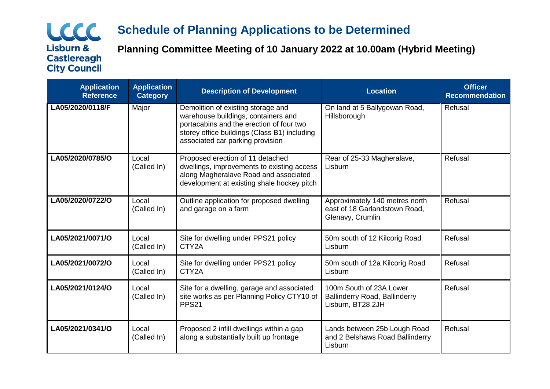## LCCC **Lisburn & Castlereagh City Council**

# **Schedule of Planning Applications to be Determined**

**Planning Committee Meeting of 10 January 2022 at 10.00am (Hybrid Meeting)**

| <b>Application</b><br><b>Reference</b> | <b>Application</b><br><b>Category</b> | <b>Description of Development</b>                                                                                                                                                                         | <b>Location</b>                                                                      | <b>Officer</b><br><b>Recommendation</b> |
|----------------------------------------|---------------------------------------|-----------------------------------------------------------------------------------------------------------------------------------------------------------------------------------------------------------|--------------------------------------------------------------------------------------|-----------------------------------------|
| LA05/2020/0118/F                       | Major                                 | Demolition of existing storage and<br>warehouse buildings, containers and<br>portacabins and the erection of four two<br>storey office buildings (Class B1) including<br>associated car parking provision | On land at 5 Ballygowan Road,<br>Hillsborough                                        | Refusal                                 |
| LA05/2020/0785/O                       | Local<br>(Called In)                  | Proposed erection of 11 detached<br>dwellings, improvements to existing access<br>along Magheralave Road and associated<br>development at existing shale hockey pitch                                     | Rear of 25-33 Magheralave,<br>Lisburn                                                | Refusal                                 |
| LA05/2020/0722/O                       | Local<br>(Called In)                  | Outline application for proposed dwelling<br>and garage on a farm                                                                                                                                         | Approximately 140 metres north<br>east of 18 Garlandstown Road,<br>Glenavy, Crumlin  | Refusal                                 |
| LA05/2021/0071/O                       | Local<br>(Called In)                  | Site for dwelling under PPS21 policy<br>CTY2A                                                                                                                                                             | 50m south of 12 Kilcorig Road<br>Lisburn                                             | Refusal                                 |
| LA05/2021/0072/O                       | Local<br>(Called In)                  | Site for dwelling under PPS21 policy<br>CTY2A                                                                                                                                                             | 50m south of 12a Kilcorig Road<br>Lisburn                                            | Refusal                                 |
| LA05/2021/0124/O                       | Local<br>(Called In)                  | Site for a dwelling, garage and associated<br>site works as per Planning Policy CTY10 of<br>PPS <sub>21</sub>                                                                                             | 100m South of 23A Lower<br><b>Ballinderry Road, Ballinderry</b><br>Lisburn, BT28 2JH | Refusal                                 |
| LA05/2021/0341/O                       | Local<br>(Called In)                  | Proposed 2 infill dwellings within a gap<br>along a substantially built up frontage                                                                                                                       | Lands between 25b Lough Road<br>and 2 Belshaws Road Ballinderry<br>Lisburn           | Refusal                                 |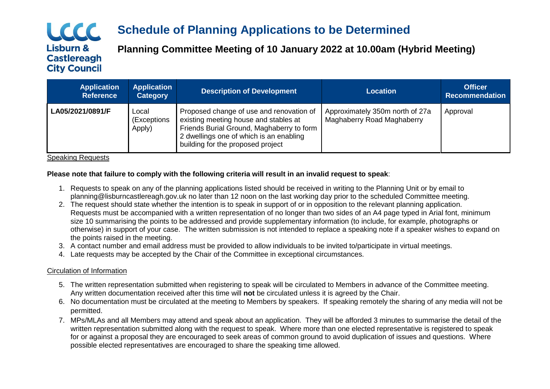## LCCC **Lisburn & Castlereagh City Council**

# **Schedule of Planning Applications to be Determined**

**Planning Committee Meeting of 10 January 2022 at 10.00am (Hybrid Meeting)**

| <b>Application</b><br><b>Reference</b> | <b>Application</b><br><b>Category</b> | <b>Description of Development</b>                                                                                                                                                                              | <b>Location</b>                                                      | <b>Officer</b><br><b>Recommendation</b> |
|----------------------------------------|---------------------------------------|----------------------------------------------------------------------------------------------------------------------------------------------------------------------------------------------------------------|----------------------------------------------------------------------|-----------------------------------------|
| LA05/2021/0891/F                       | Local<br>(Exceptions<br>Apply)        | Proposed change of use and renovation of<br>existing meeting house and stables at<br>Friends Burial Ground, Maghaberry to form<br>2 dwellings one of which is an enabling<br>building for the proposed project | Approximately 350m north of 27a<br><b>Maghaberry Road Maghaberry</b> | Approval                                |

Speaking Requests

#### **Please note that failure to comply with the following criteria will result in an invalid request to speak**:

- 1. Requests to speak on any of the planning applications listed should be received in writing to the Planning Unit or by email to planning@lisburncastlereagh.gov.uk no later than 12 noon on the last working day prior to the scheduled Committee meeting.
- 2. The request should state whether the intention is to speak in support of or in opposition to the relevant planning application. Requests must be accompanied with a written representation of no longer than two sides of an A4 page typed in Arial font, minimum size 10 summarising the points to be addressed and provide supplementary information (to include, for example, photographs or otherwise) in support of your case. The written submission is not intended to replace a speaking note if a speaker wishes to expand on the points raised in the meeting.
- 3. A contact number and email address must be provided to allow individuals to be invited to/participate in virtual meetings.
- 4. Late requests may be accepted by the Chair of the Committee in exceptional circumstances.

### Circulation of Information

- 5. The written representation submitted when registering to speak will be circulated to Members in advance of the Committee meeting. Any written documentation received after this time will **not** be circulated unless it is agreed by the Chair.
- 6. No documentation must be circulated at the meeting to Members by speakers. If speaking remotely the sharing of any media will not be permitted.
- 7. MPs/MLAs and all Members may attend and speak about an application. They will be afforded 3 minutes to summarise the detail of the written representation submitted along with the request to speak. Where more than one elected representative is registered to speak for or against a proposal they are encouraged to seek areas of common ground to avoid duplication of issues and questions. Where possible elected representatives are encouraged to share the speaking time allowed.